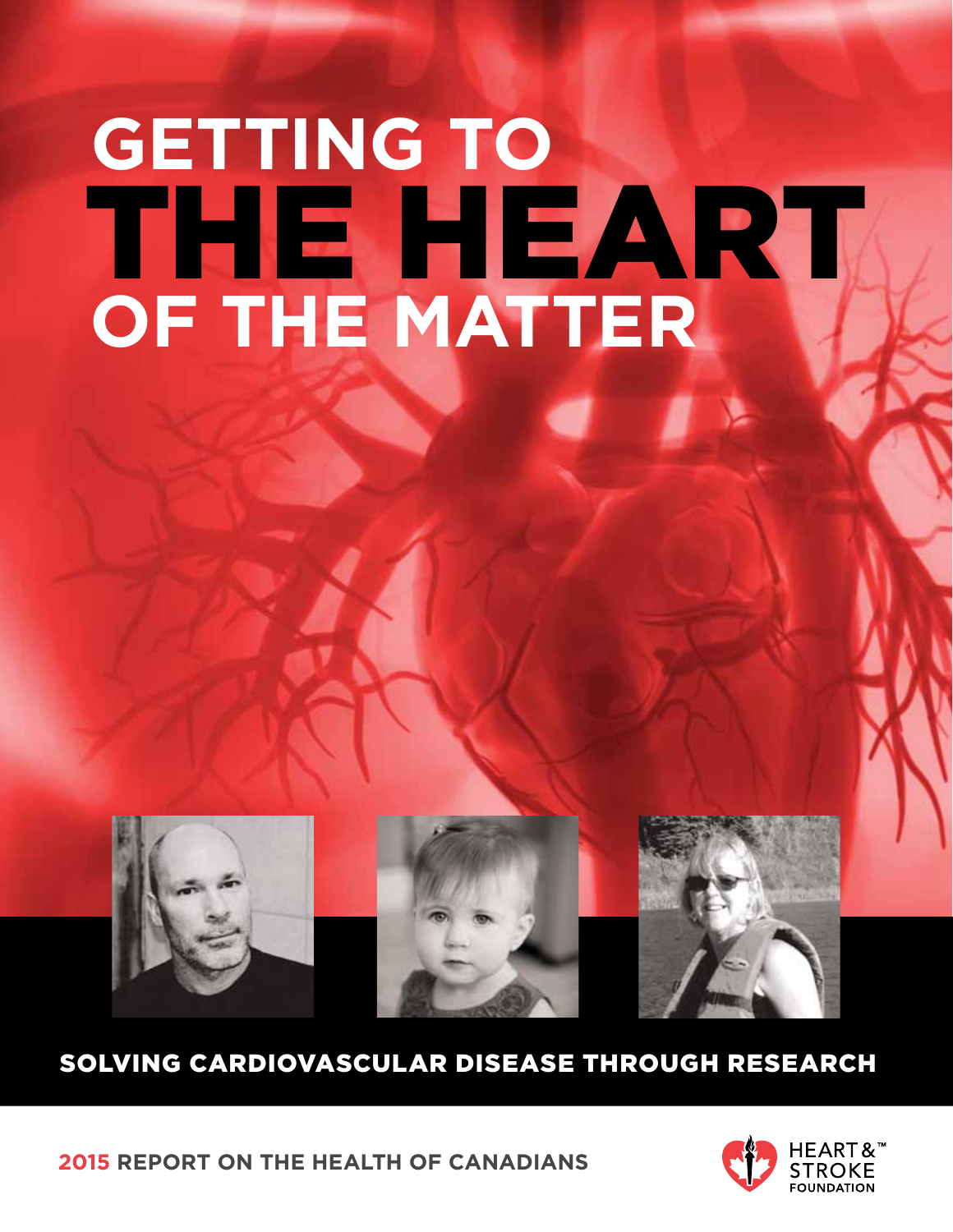# **GETTING TO** THE HEART **of the matter**



## solving cardiovascular disease through research

**2015 report on the health of canadians**

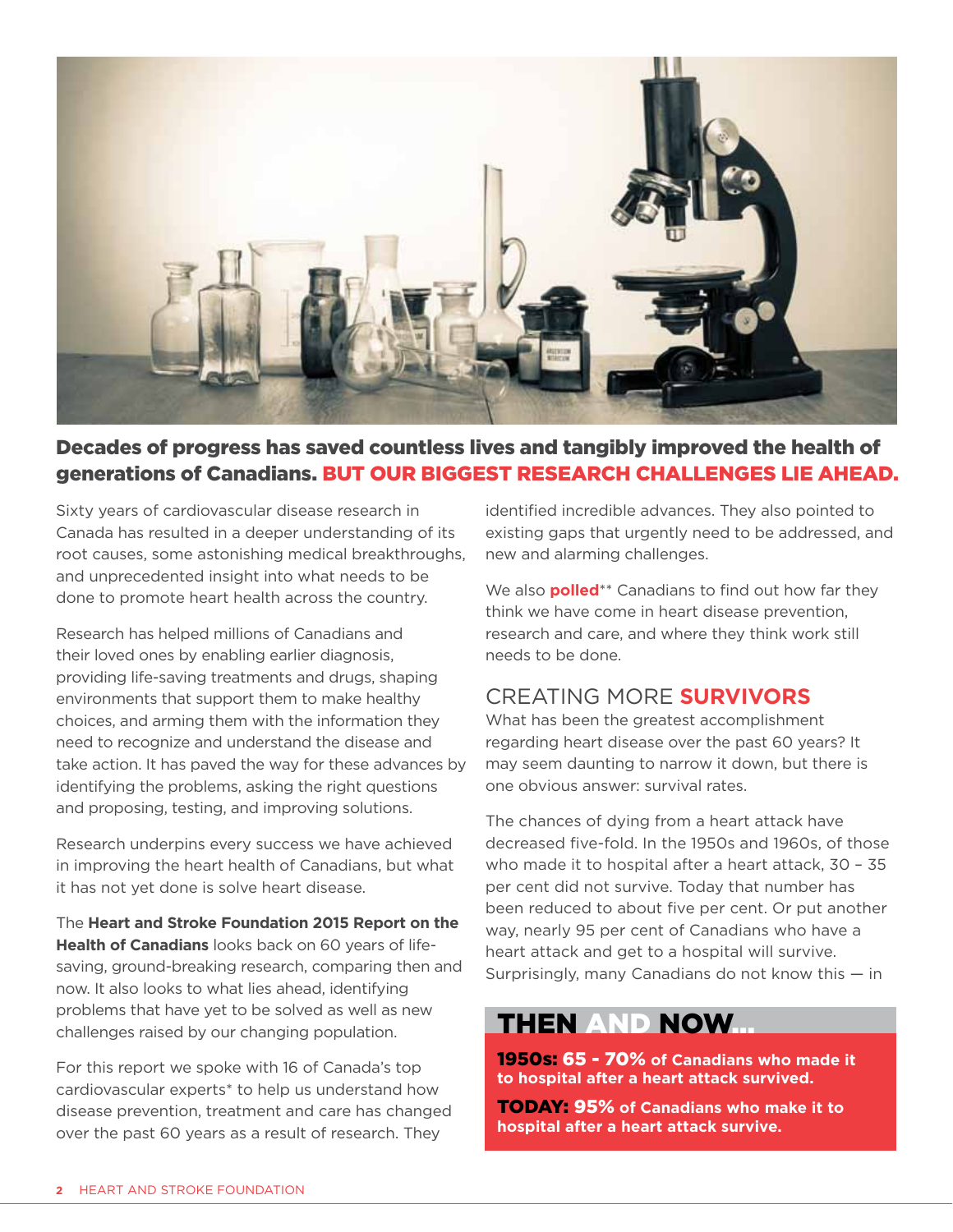

#### Decades of progress has saved countless lives and tangibly improved the health of generations of Canadians. But our biggest research challenges lie ahead.

Sixty years of cardiovascular disease research in Canada has resulted in a deeper understanding of its root causes, some astonishing medical breakthroughs, and unprecedented insight into what needs to be done to promote heart health across the country.

Research has helped millions of Canadians and their loved ones by enabling earlier diagnosis, providing life-saving treatments and drugs, shaping environments that support them to make healthy choices, and arming them with the information they need to recognize and understand the disease and take action. It has paved the way for these advances by identifying the problems, asking the right questions and proposing, testing, and improving solutions.

Research underpins every success we have achieved in improving the heart health of Canadians, but what it has not yet done is solve heart disease.

The **Heart and Stroke Foundation 2015 Report on the Health of Canadians** looks back on 60 years of lifesaving, ground-breaking research, comparing then and now. It also looks to what lies ahead, identifying problems that have yet to be solved as well as new challenges raised by our changing population.

For this report we spoke with 16 of Canada's top cardiovascular experts\* to help us understand how disease prevention, treatment and care has changed over the past 60 years as a result of research. They

identified incredible advances. They also pointed to existing gaps that urgently need to be addressed, and new and alarming challenges.

We also **polled**\*\* Canadians to find out how far they think we have come in heart disease prevention, research and care, and where they think work still needs to be done.

#### Creating more **survivors**

What has been the greatest accomplishment regarding heart disease over the past 60 years? It may seem daunting to narrow it down, but there is one obvious answer: survival rates.

The chances of dying from a heart attack have decreased five-fold. In the 1950s and 1960s, of those who made it to hospital after a heart attack, 30 – 35 per cent did not survive. Today that number has been reduced to about five per cent. Or put another way, nearly 95 per cent of Canadians who have a heart attack and get to a hospital will survive. Surprisingly, many Canadians do not know this — in

## THEN AND NOW...

1950s: 65 - 70% **of Canadians who made it to hospital after a heart attack survived.** 

**TODAY: 95% of Canadians who make it to hospital after a heart attack survive.**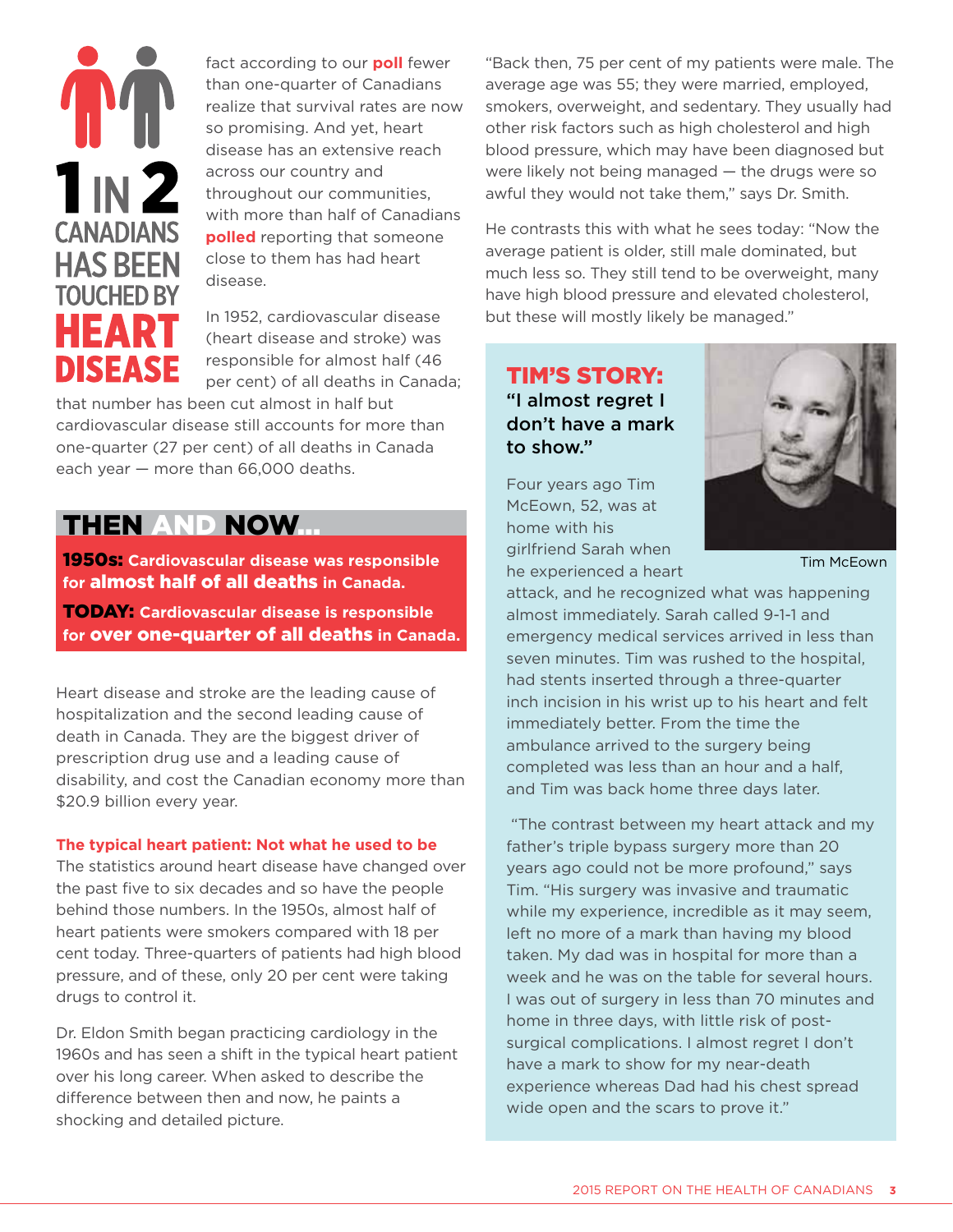## $1<sub>IN</sub>2$ **CANADIANS HAS BEEN TOUCHED BY HEART DISEASE**

fact according to our **poll** fewer than one-quarter of Canadians realize that survival rates are now so promising. And yet, heart disease has an extensive reach across our country and throughout our communities, with more than half of Canadians **polled** reporting that someone close to them has had heart disease.

In 1952, cardiovascular disease (heart disease and stroke) was responsible for almost half (46 per cent) of all deaths in Canada;

that number has been cut almost in half but cardiovascular disease still accounts for more than one-quarter (27 per cent) of all deaths in Canada each year — more than 66,000 deaths.

## THEN AND NOW...

1950s: **Cardiovascular disease was responsible for** almost half of all deaths **in Canada.** 

Today: **Cardiovascular disease is responsible for** over one-quarter of all deaths **in Canada.**

Heart disease and stroke are the leading cause of hospitalization and the second leading cause of death in Canada. They are the biggest driver of prescription drug use and a leading cause of disability, and cost the Canadian economy more than \$20.9 billion every year.

#### **The typical heart patient: Not what he used to be**

The statistics around heart disease have changed over the past five to six decades and so have the people behind those numbers. In the 1950s, almost half of heart patients were smokers compared with 18 per cent today. Three-quarters of patients had high blood pressure, and of these, only 20 per cent were taking drugs to control it.

Dr. Eldon Smith began practicing cardiology in the 1960s and has seen a shift in the typical heart patient over his long career. When asked to describe the difference between then and now, he paints a shocking and detailed picture.

"Back then, 75 per cent of my patients were male. The average age was 55; they were married, employed, smokers, overweight, and sedentary. They usually had other risk factors such as high cholesterol and high blood pressure, which may have been diagnosed but were likely not being managed — the drugs were so awful they would not take them," says Dr. Smith.

He contrasts this with what he sees today: "Now the average patient is older, still male dominated, but much less so. They still tend to be overweight, many have high blood pressure and elevated cholesterol, but these will mostly likely be managed."

#### Tim's story: "I almost regret I don't have a mark to show."

Four years ago Tim McEown, 52, was at home with his girlfriend Sarah when he experienced a heart



Tim McEown

attack, and he recognized what was happening almost immediately. Sarah called 9-1-1 and emergency medical services arrived in less than seven minutes. Tim was rushed to the hospital, had stents inserted through a three-quarter inch incision in his wrist up to his heart and felt immediately better. From the time the ambulance arrived to the surgery being completed was less than an hour and a half, and Tim was back home three days later.

 "The contrast between my heart attack and my father's triple bypass surgery more than 20 years ago could not be more profound," says Tim. "His surgery was invasive and traumatic while my experience, incredible as it may seem, left no more of a mark than having my blood taken. My dad was in hospital for more than a week and he was on the table for several hours. I was out of surgery in less than 70 minutes and home in three days, with little risk of postsurgical complications. I almost regret I don't have a mark to show for my near-death experience whereas Dad had his chest spread wide open and the scars to prove it."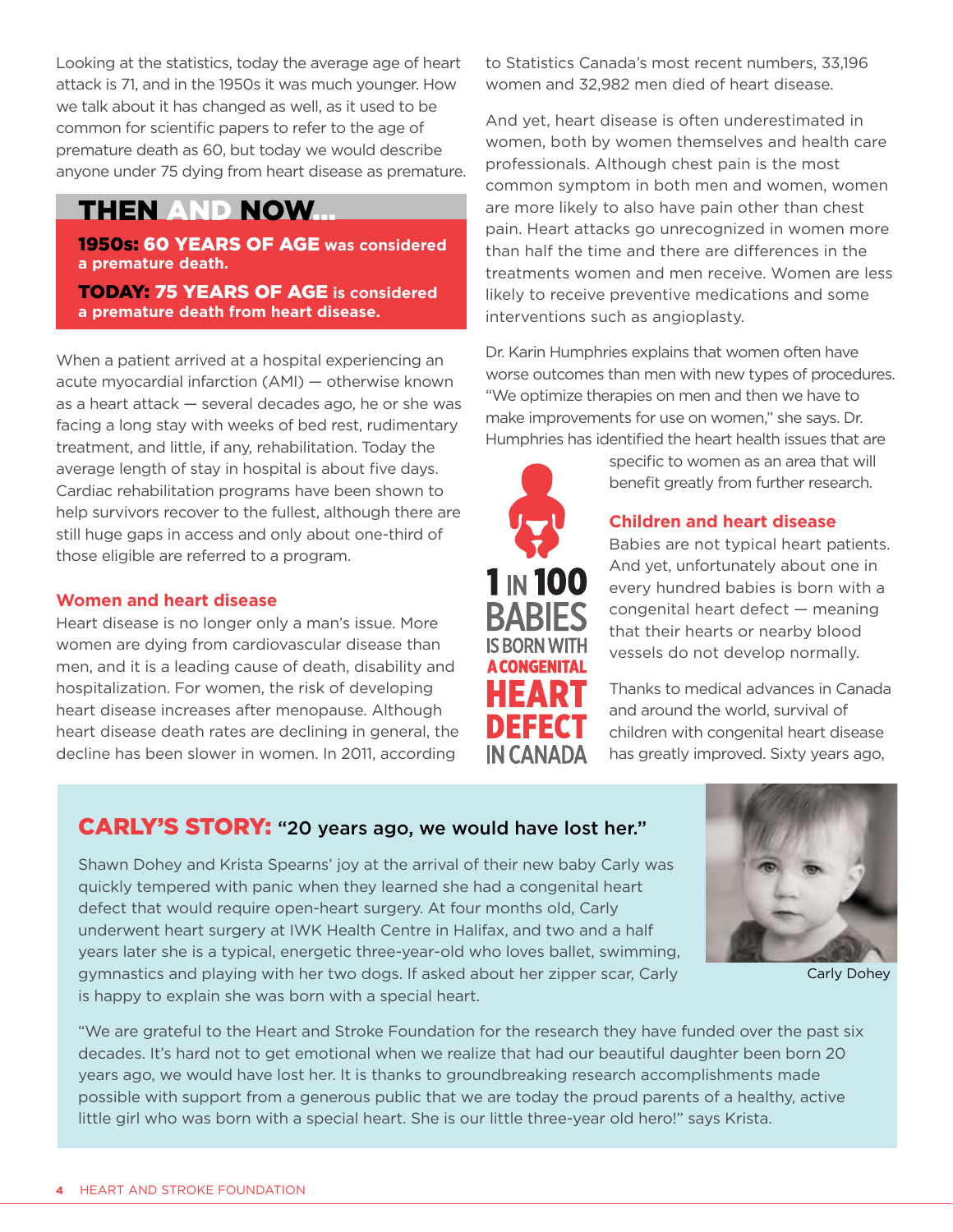Looking at the statistics, today the average age of heart attack is 71, and in the 1950s it was much younger. How we talk about it has changed as well, as it used to be common for scientific papers to refer to the age of premature death as 60, but today we would describe anyone under 75 dying from heart disease as premature.

## THEN AND NOW...

**1950s: 60 YEARS OF AGE was considered a premature death.** 

Today: 75 years of age **is considered a premature death from heart disease.** 

When a patient arrived at a hospital experiencing an acute myocardial infarction (AMI) — otherwise known as a heart attack — several decades ago, he or she was facing a long stay with weeks of bed rest, rudimentary treatment, and little, if any, rehabilitation. Today the average length of stay in hospital is about five days. Cardiac rehabilitation programs have been shown to help survivors recover to the fullest, although there are still huge gaps in access and only about one-third of those eligible are referred to a program.

#### **Women and heart disease**

Heart disease is no longer only a man's issue. More women are dying from cardiovascular disease than men, and it is a leading cause of death, disability and hospitalization. For women, the risk of developing heart disease increases after menopause. Although heart disease death rates are declining in general, the decline has been slower in women. In 2011, according

to Statistics Canada's most recent numbers, 33,196 women and 32,982 men died of heart disease.

And yet, heart disease is often underestimated in women, both by women themselves and health care professionals. Although chest pain is the most common symptom in both men and women, women are more likely to also have pain other than chest pain. Heart attacks go unrecognized in women more than half the time and there are differences in the treatments women and men receive. Women are less likely to receive preventive medications and some interventions such as angioplasty.

Dr. Karin Humphries explains that women often have worse outcomes than men with new types of procedures. "We optimize therapies on men and then we have to make improvements for use on women," she says. Dr. Humphries has identified the heart health issues that are



specific to women as an area that will benefit greatly from further research.

#### **Children and heart disease**

Babies are not typical heart patients. And yet, unfortunately about one in every hundred babies is born with a congenital heart defect — meaning that their hearts or nearby blood vessels do not develop normally.

Thanks to medical advances in Canada and around the world, survival of children with congenital heart disease has greatly improved. Sixty years ago,

## CARLY'S STORY: "20 years ago, we would have lost her."

Shawn Dohey and Krista Spearns' joy at the arrival of their new baby Carly was quickly tempered with panic when they learned she had a congenital heart defect that would require open-heart surgery. At four months old, Carly underwent heart surgery at IWK Health Centre in Halifax, and two and a half years later she is a typical, energetic three-year-old who loves ballet, swimming, gymnastics and playing with her two dogs. If asked about her zipper scar, Carly is happy to explain she was born with a special heart.



Carly Dohey

"We are grateful to the Heart and Stroke Foundation for the research they have funded over the past six decades. It's hard not to get emotional when we realize that had our beautiful daughter been born 20 years ago, we would have lost her. It is thanks to groundbreaking research accomplishments made possible with support from a generous public that we are today the proud parents of a healthy, active little girl who was born with a special heart. She is our little three-year old hero!" says Krista.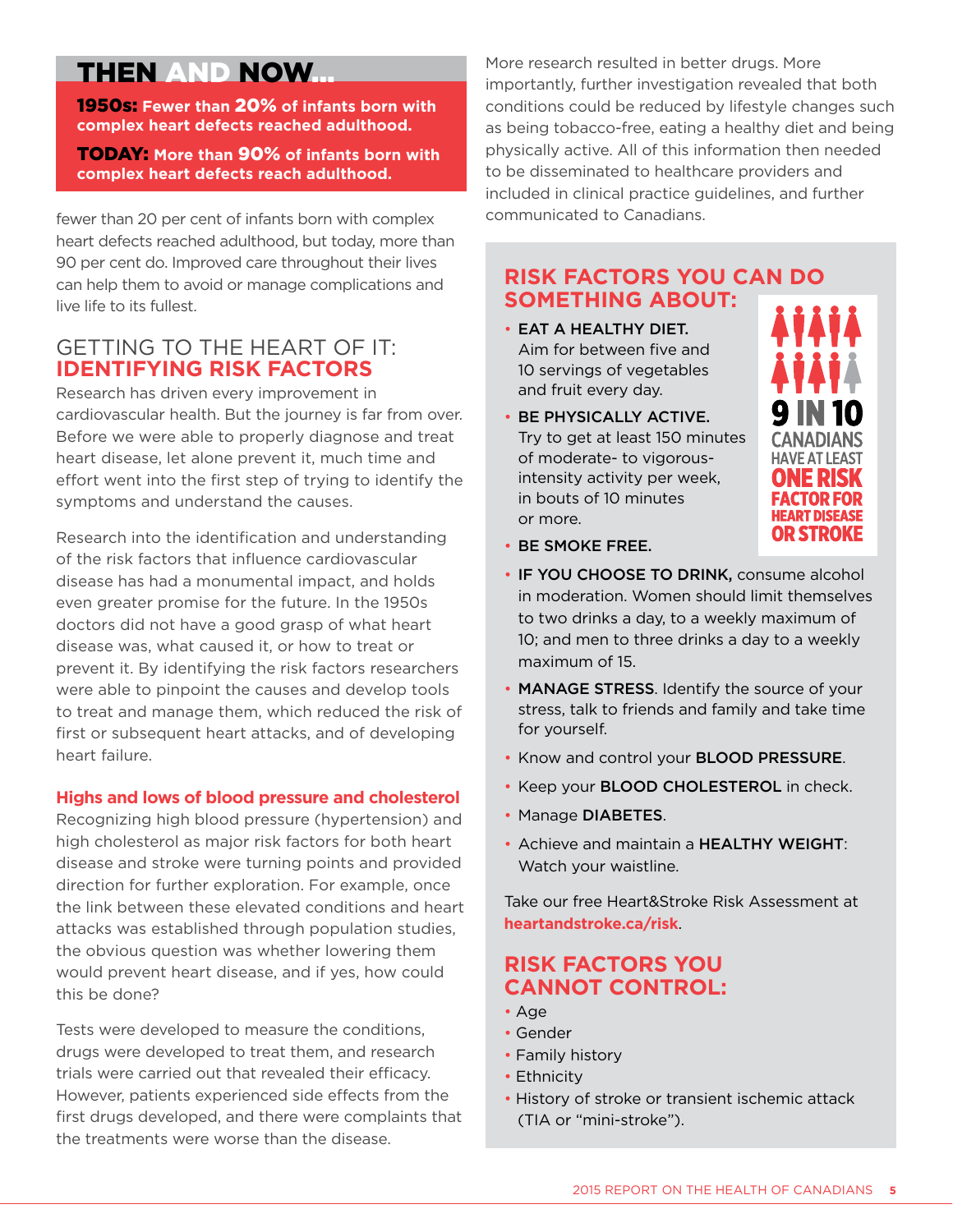## THEN AND NOW...

1950s: **Fewer than** 20% **of infants born with complex heart defects reached adulthood.** 

Today: **More than** 90% **of infants born with complex heart defects reach adulthood.**

fewer than 20 per cent of infants born with complex heart defects reached adulthood, but today, more than 90 per cent do. Improved care throughout their lives can help them to avoid or manage complications and live life to its fullest.

#### getting to the heart of it: **identifying risk factors**

Research has driven every improvement in cardiovascular health. But the journey is far from over. Before we were able to properly diagnose and treat heart disease, let alone prevent it, much time and effort went into the first step of trying to identify the symptoms and understand the causes.

Research into the identification and understanding of the risk factors that influence cardiovascular disease has had a monumental impact, and holds even greater promise for the future. In the 1950s doctors did not have a good grasp of what heart disease was, what caused it, or how to treat or prevent it. By identifying the risk factors researchers were able to pinpoint the causes and develop tools to treat and manage them, which reduced the risk of first or subsequent heart attacks, and of developing heart failure.

#### **Highs and lows of blood pressure and cholesterol**

Recognizing high blood pressure (hypertension) and high cholesterol as major risk factors for both heart disease and stroke were turning points and provided direction for further exploration. For example, once the link between these elevated conditions and heart attacks was established through population studies, the obvious question was whether lowering them would prevent heart disease, and if yes, how could this be done?

Tests were developed to measure the conditions, drugs were developed to treat them, and research trials were carried out that revealed their efficacy. However, patients experienced side effects from the first drugs developed, and there were complaints that the treatments were worse than the disease.

More research resulted in better drugs. More importantly, further investigation revealed that both conditions could be reduced by lifestyle changes such as being tobacco-free, eating a healthy diet and being physically active. All of this information then needed to be disseminated to healthcare providers and included in clinical practice guidelines, and further communicated to Canadians.

#### **risk factors you can do something about:**

- Eat a healthy diet. Aim for between five and 10 servings of vegetables and fruit every day.
- Be physically active. Try to get at least 150 minutes of moderate- to vigorousintensity activity per week, in bouts of 10 minutes or more.



- Be smoke free.
- IF YOU CHOOSE TO DRINK, consume alcohol in moderation. Women should limit themselves to two drinks a day, to a weekly maximum of 10; and men to three drinks a day to a weekly maximum of 15.
- MANAGE STRESS. Identify the source of your stress, talk to friends and family and take time for yourself.
- Know and control your **BLOOD PRESSURE**.
- Keep your **BLOOD CHOLESTEROL** in check.
- Manage DIABETES.
- Achieve and maintain a HEALTHY WEIGHT: Watch your waistline.

Take our free Heart&Stroke Risk Assessment at **[heartandstroke.ca/risk](http://www.heartandstroke.ca/risk)**.

## **Risk factors you cannot control:**

- Age
- Gender
- Family history
- Ethnicity
- History of stroke or transient ischemic attack (TIA or "mini-stroke").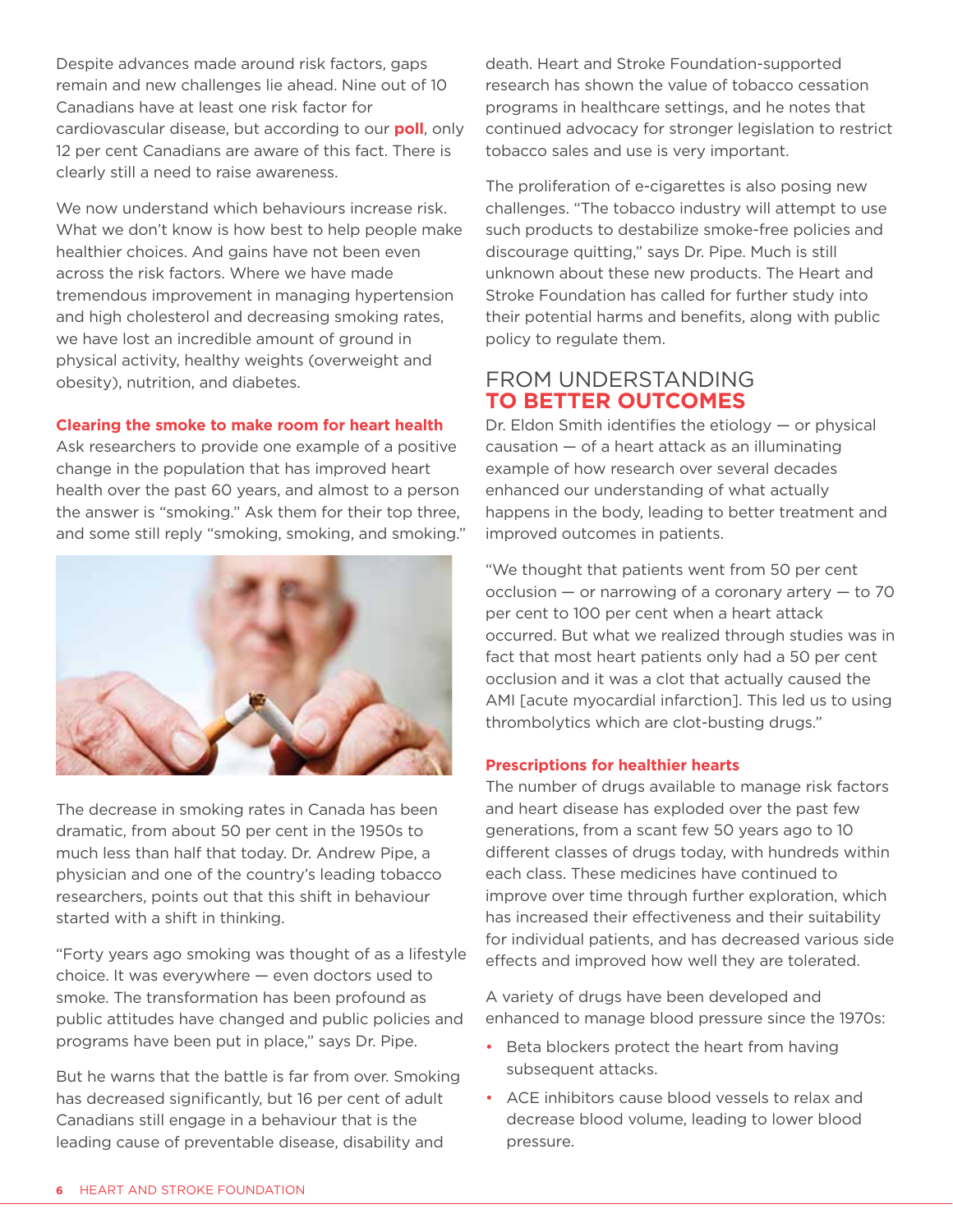Despite advances made around risk factors, gaps remain and new challenges lie ahead. Nine out of 10 Canadians have at least one risk factor for cardiovascular disease, but according to our **poll**, only 12 per cent Canadians are aware of this fact. There is clearly still a need to raise awareness.

We now understand which behaviours increase risk. What we don't know is how best to help people make healthier choices. And gains have not been even across the risk factors. Where we have made tremendous improvement in managing hypertension and high cholesterol and decreasing smoking rates, we have lost an incredible amount of ground in physical activity, healthy weights (overweight and obesity), nutrition, and diabetes.

#### **Clearing the smoke to make room for heart health**

Ask researchers to provide one example of a positive change in the population that has improved heart health over the past 60 years, and almost to a person the answer is "smoking." Ask them for their top three, and some still reply "smoking, smoking, and smoking."



The decrease in smoking rates in Canada has been dramatic, from about 50 per cent in the 1950s to much less than half that today. Dr. Andrew Pipe, a physician and one of the country's leading tobacco researchers, points out that this shift in behaviour started with a shift in thinking.

"Forty years ago smoking was thought of as a lifestyle choice. It was everywhere — even doctors used to smoke. The transformation has been profound as public attitudes have changed and public policies and programs have been put in place," says Dr. Pipe.

But he warns that the battle is far from over. Smoking has decreased significantly, but 16 per cent of adult Canadians still engage in a behaviour that is the leading cause of preventable disease, disability and

death. Heart and Stroke Foundation-supported research has shown the value of tobacco cessation programs in healthcare settings, and he notes that continued advocacy for stronger legislation to restrict tobacco sales and use is very important.

The proliferation of e-cigarettes is also posing new challenges. "The tobacco industry will attempt to use such products to destabilize smoke-free policies and discourage quitting," says Dr. Pipe. Much is still unknown about these new products. The Heart and Stroke Foundation has called for further study into their potential harms and benefits, along with public policy to regulate them.

#### from understanding **to better outcomes**

Dr. Eldon Smith identifies the etiology — or physical causation — of a heart attack as an illuminating example of how research over several decades enhanced our understanding of what actually happens in the body, leading to better treatment and improved outcomes in patients.

"We thought that patients went from 50 per cent occlusion — or narrowing of a coronary artery — to 70 per cent to 100 per cent when a heart attack occurred. But what we realized through studies was in fact that most heart patients only had a 50 per cent occlusion and it was a clot that actually caused the AMI [acute myocardial infarction]. This led us to using thrombolytics which are clot-busting drugs."

#### **Prescriptions for healthier hearts**

The number of drugs available to manage risk factors and heart disease has exploded over the past few generations, from a scant few 50 years ago to 10 different classes of drugs today, with hundreds within each class. These medicines have continued to improve over time through further exploration, which has increased their effectiveness and their suitability for individual patients, and has decreased various side effects and improved how well they are tolerated.

A variety of drugs have been developed and enhanced to manage blood pressure since the 1970s:

- Beta blockers protect the heart from having subsequent attacks.
- ACE inhibitors cause blood vessels to relax and decrease blood volume, leading to lower blood pressure.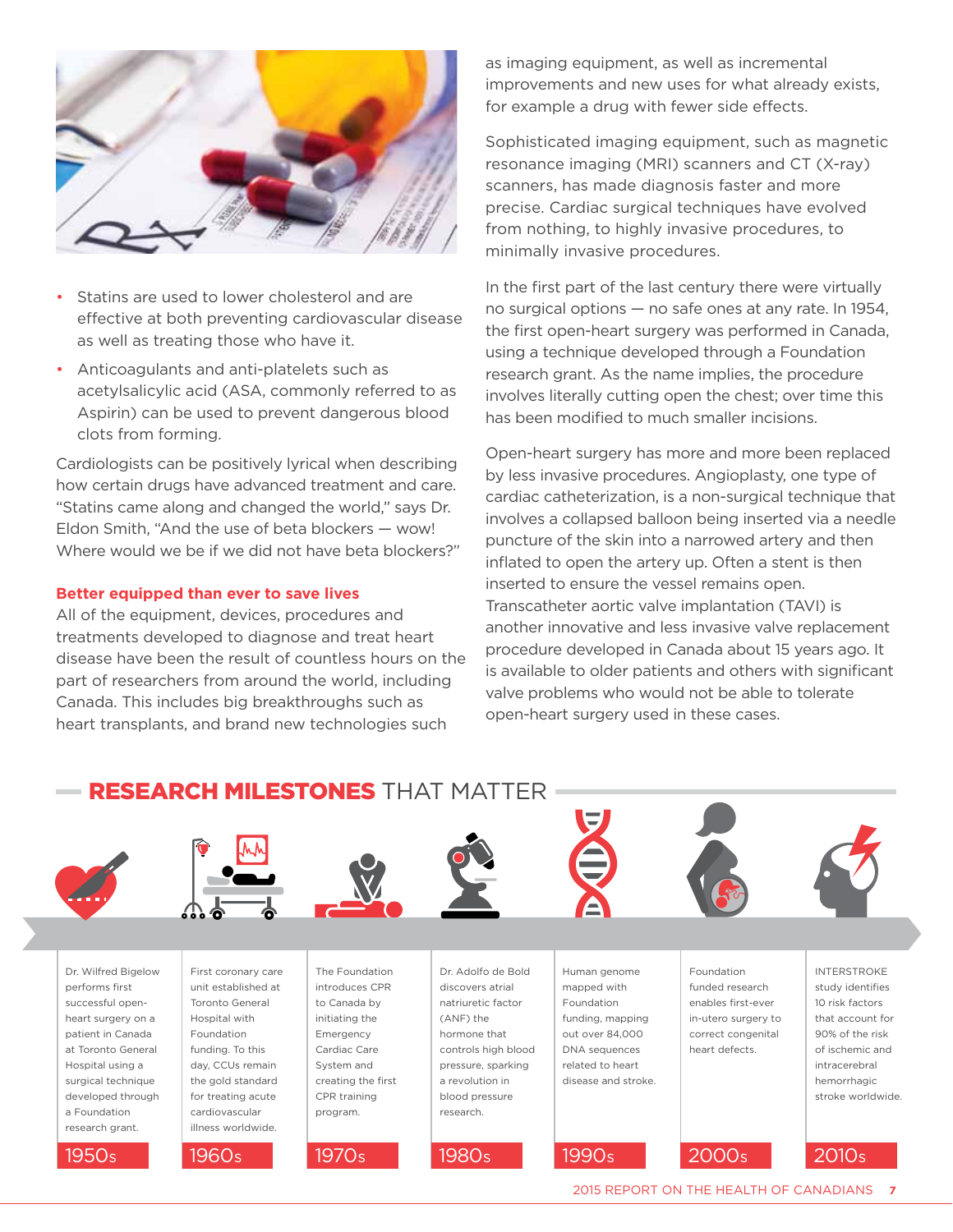

- Statins are used to lower cholesterol and are effective at both preventing cardiovascular disease as well as treating those who have it.
- Anticoagulants and anti-platelets such as acetylsalicylic acid (ASA, commonly referred to as Aspirin) can be used to prevent dangerous blood clots from forming.

Cardiologists can be positively lyrical when describing how certain drugs have advanced treatment and care. "Statins came along and changed the world," says Dr. Eldon Smith, "And the use of beta blockers — wow! Where would we be if we did not have beta blockers?"

#### **Better equipped than ever to save lives**

All of the equipment, devices, procedures and treatments developed to diagnose and treat heart disease have been the result of countless hours on the part of researchers from around the world, including Canada. This includes big breakthroughs such as heart transplants, and brand new technologies such

as imaging equipment, as well as incremental improvements and new uses for what already exists, for example a drug with fewer side effects.

Sophisticated imaging equipment, such as magnetic resonance imaging (MRI) scanners and CT (X-ray) scanners, has made diagnosis faster and more precise. Cardiac surgical techniques have evolved from nothing, to highly invasive procedures, to minimally invasive procedures.

In the first part of the last century there were virtually no surgical options — no safe ones at any rate. In 1954, the first open-heart surgery was performed in Canada, using a technique developed through a Foundation research grant. As the name implies, the procedure involves literally cutting open the chest; over time this has been modified to much smaller incisions.

Open-heart surgery has more and more been replaced by less invasive procedures. Angioplasty, one type of cardiac catheterization, is a non-surgical technique that involves a collapsed balloon being inserted via a needle puncture of the skin into a narrowed artery and then inflated to open the artery up. Often a stent is then inserted to ensure the vessel remains open. Transcatheter aortic valve implantation (TAVI) is another innovative and less invasive valve replacement procedure developed in Canada about 15 years ago. It is available to older patients and others with significant valve problems who would not be able to tolerate open-heart surgery used in these cases.

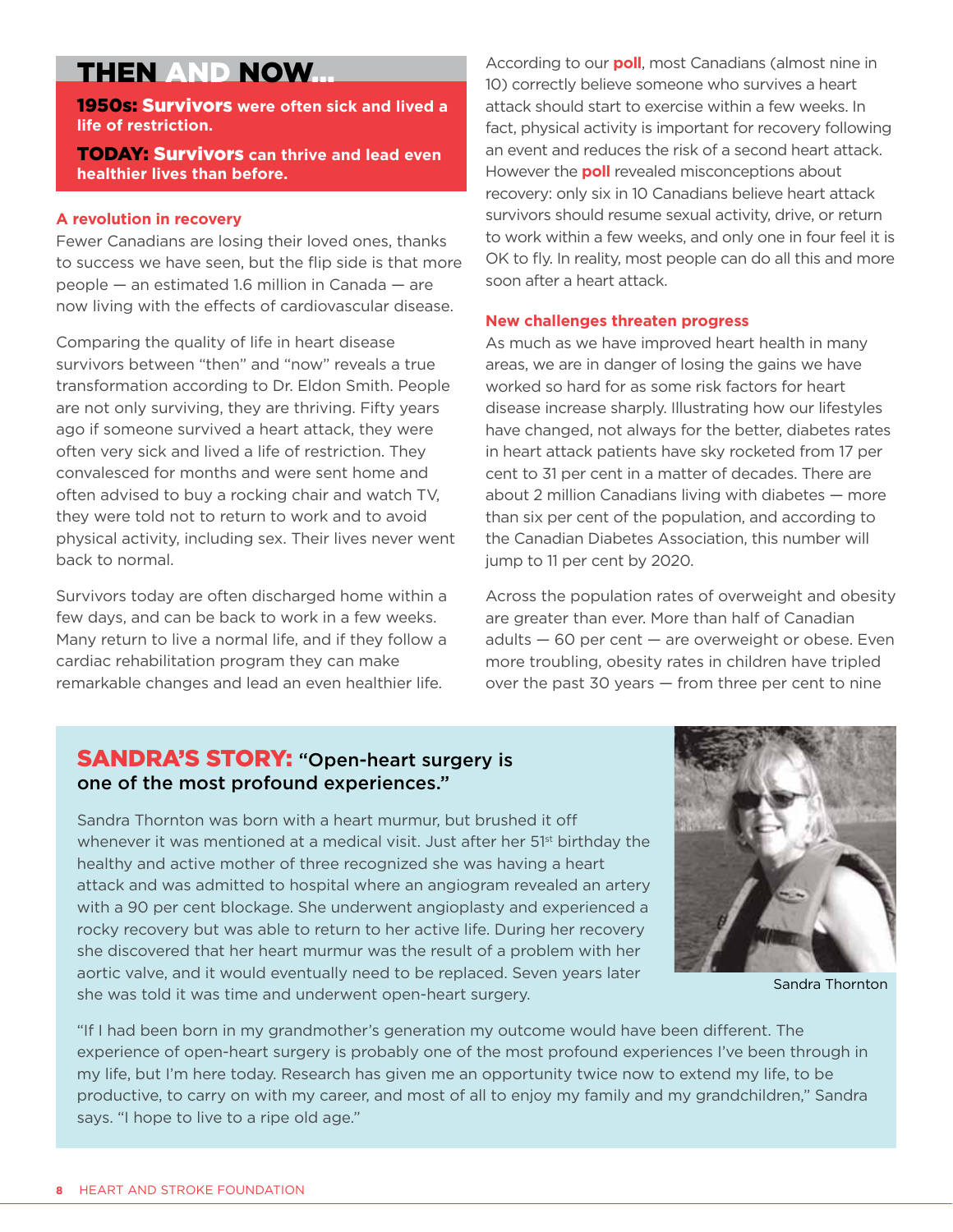## THEN AND NOW...

1950s: Survivors **were often sick and lived a life of restriction.** 

**TODAY: Survivors** can thrive and lead even **healthier lives than before.**

#### **A revolution in recovery**

Fewer Canadians are losing their loved ones, thanks to success we have seen, but the flip side is that more people — an estimated 1.6 million in Canada — are now living with the effects of cardiovascular disease.

Comparing the quality of life in heart disease survivors between "then" and "now" reveals a true transformation according to Dr. Eldon Smith. People are not only surviving, they are thriving. Fifty years ago if someone survived a heart attack, they were often very sick and lived a life of restriction. They convalesced for months and were sent home and often advised to buy a rocking chair and watch TV, they were told not to return to work and to avoid physical activity, including sex. Their lives never went back to normal.

Survivors today are often discharged home within a few days, and can be back to work in a few weeks. Many return to live a normal life, and if they follow a cardiac rehabilitation program they can make remarkable changes and lead an even healthier life.

According to our **poll**, most Canadians (almost nine in 10) correctly believe someone who survives a heart attack should start to exercise within a few weeks. In fact, physical activity is important for recovery following an event and reduces the risk of a second heart attack. However the **poll** revealed misconceptions about recovery: only six in 10 Canadians believe heart attack survivors should resume sexual activity, drive, or return to work within a few weeks, and only one in four feel it is OK to fly. In reality, most people can do all this and more soon after a heart attack.

#### **New challenges threaten progress**

As much as we have improved heart health in many areas, we are in danger of losing the gains we have worked so hard for as some risk factors for heart disease increase sharply. Illustrating how our lifestyles have changed, not always for the better, diabetes rates in heart attack patients have sky rocketed from 17 per cent to 31 per cent in a matter of decades. There are about 2 million Canadians living with diabetes — more than six per cent of the population, and according to the Canadian Diabetes Association, this number will jump to 11 per cent by 2020.

Across the population rates of overweight and obesity are greater than ever. More than half of Canadian adults — 60 per cent — are overweight or obese. Even more troubling, obesity rates in children have tripled over the past 30 years — from three per cent to nine

#### **SANDRA'S STORY: "Open-heart surgery is** one of the most profound experiences."

Sandra Thornton was born with a heart murmur, but brushed it off whenever it was mentioned at a medical visit. Just after her 51<sup>st</sup> birthday the healthy and active mother of three recognized she was having a heart attack and was admitted to hospital where an angiogram revealed an artery with a 90 per cent blockage. She underwent angioplasty and experienced a rocky recovery but was able to return to her active life. During her recovery she discovered that her heart murmur was the result of a problem with her aortic valve, and it would eventually need to be replaced. Seven years later she was told it was time and underwent open-heart surgery.



Sandra Thornton

"If I had been born in my grandmother's generation my outcome would have been different. The experience of open-heart surgery is probably one of the most profound experiences I've been through in my life, but I'm here today. Research has given me an opportunity twice now to extend my life, to be productive, to carry on with my career, and most of all to enjoy my family and my grandchildren," Sandra says. "I hope to live to a ripe old age."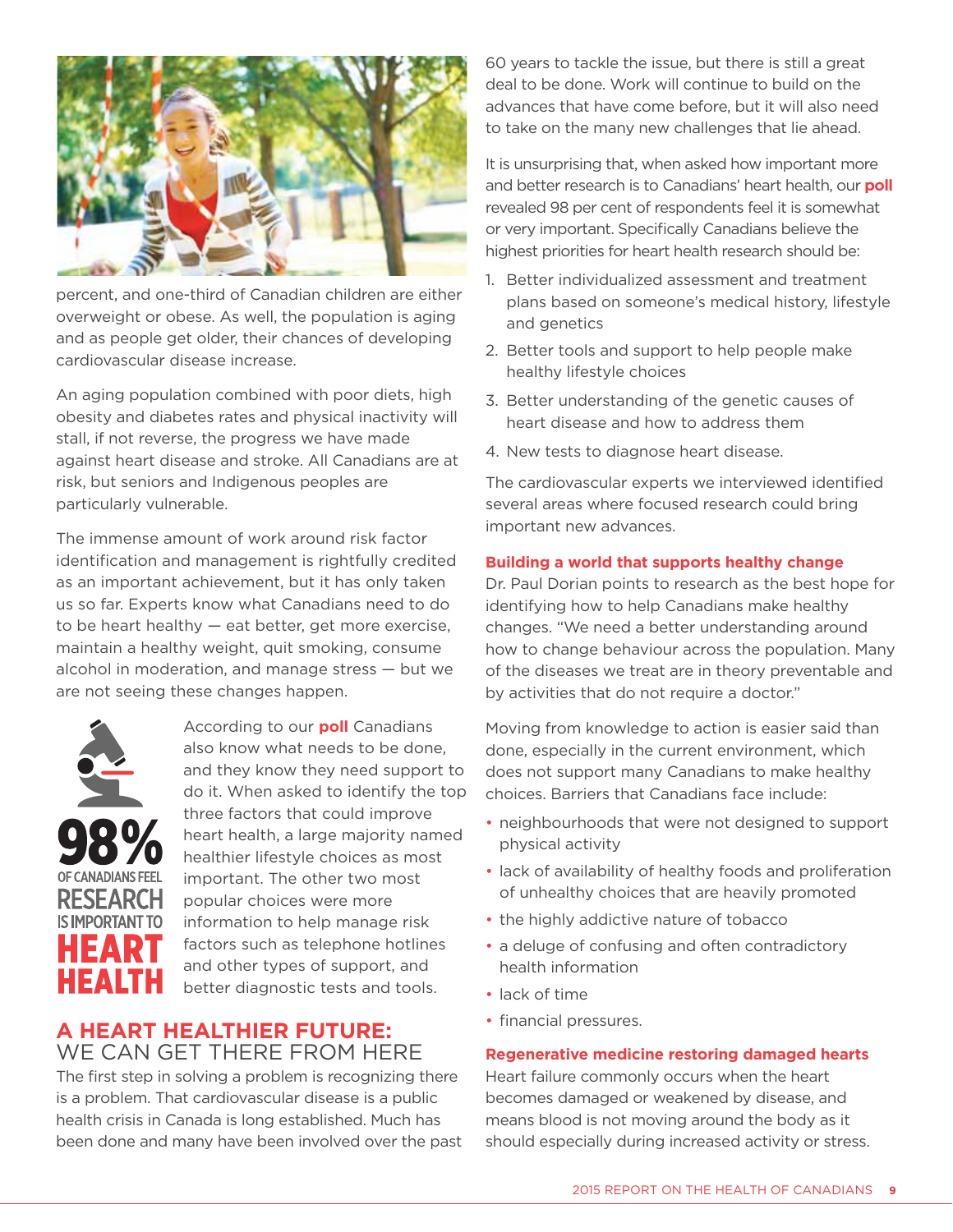

percent, and one-third of Canadian children are either overweight or obese. As well, the population is aging and as people get older, their chances of developing cardiovascular disease increase.

An aging population combined with poor diets, high obesity and diabetes rates and physical inactivity will stall, if not reverse, the progress we have made against heart disease and stroke. All Canadians are at risk, but seniors and Indigenous peoples are particularly vulnerable.

The immense amount of work around risk factor identification and management is rightfully credited as an important achievement, but it has only taken us so far. Experts know what Canadians need to do to be heart healthy — eat better, get more exercise, maintain a healthy weight, quit smoking, consume alcohol in moderation, and manage stress — but we are not seeing these changes happen.



According to our **poll** Canadians also know what needs to be done, and they know they need support to do it. When asked to identify the top three factors that could improve heart health, a large majority named healthier lifestyle choices as most important. The other two most popular choices were more information to help manage risk factors such as telephone hotlines and other types of support, and better diagnostic tests and tools.

## **a HEART healthier future:**  we can get there from here

The first step in solving a problem is recognizing there is a problem. That cardiovascular disease is a public health crisis in Canada is long established. Much has been done and many have been involved over the past 60 years to tackle the issue, but there is still a great deal to be done. Work will continue to build on the advances that have come before, but it will also need to take on the many new challenges that lie ahead.

It is unsurprising that, when asked how important more and better research is to Canadians' heart health, our **poll** revealed 98 per cent of respondents feel it is somewhat or very important. Specifically Canadians believe the highest priorities for heart health research should be:

- 1. Better individualized assessment and treatment plans based on someone's medical history, lifestyle and genetics
- 2. Better tools and support to help people make healthy lifestyle choices
- 3. Better understanding of the genetic causes of heart disease and how to address them
- 4. New tests to diagnose heart disease.

The cardiovascular experts we interviewed identified several areas where focused research could bring important new advances.

#### **Building a world that supports healthy change**

Dr. Paul Dorian points to research as the best hope for identifying how to help Canadians make healthy changes. "We need a better understanding around how to change behaviour across the population. Many of the diseases we treat are in theory preventable and by activities that do not require a doctor."

Moving from knowledge to action is easier said than done, especially in the current environment, which does not support many Canadians to make healthy choices. Barriers that Canadians face include:

- neighbourhoods that were not designed to support physical activity
- lack of availability of healthy foods and proliferation of unhealthy choices that are heavily promoted
- the highly addictive nature of tobacco
- a deluge of confusing and often contradictory health information
- lack of time
- financial pressures.

#### **Regenerative medicine restoring damaged hearts**

Heart failure commonly occurs when the heart becomes damaged or weakened by disease, and means blood is not moving around the body as it should especially during increased activity or stress.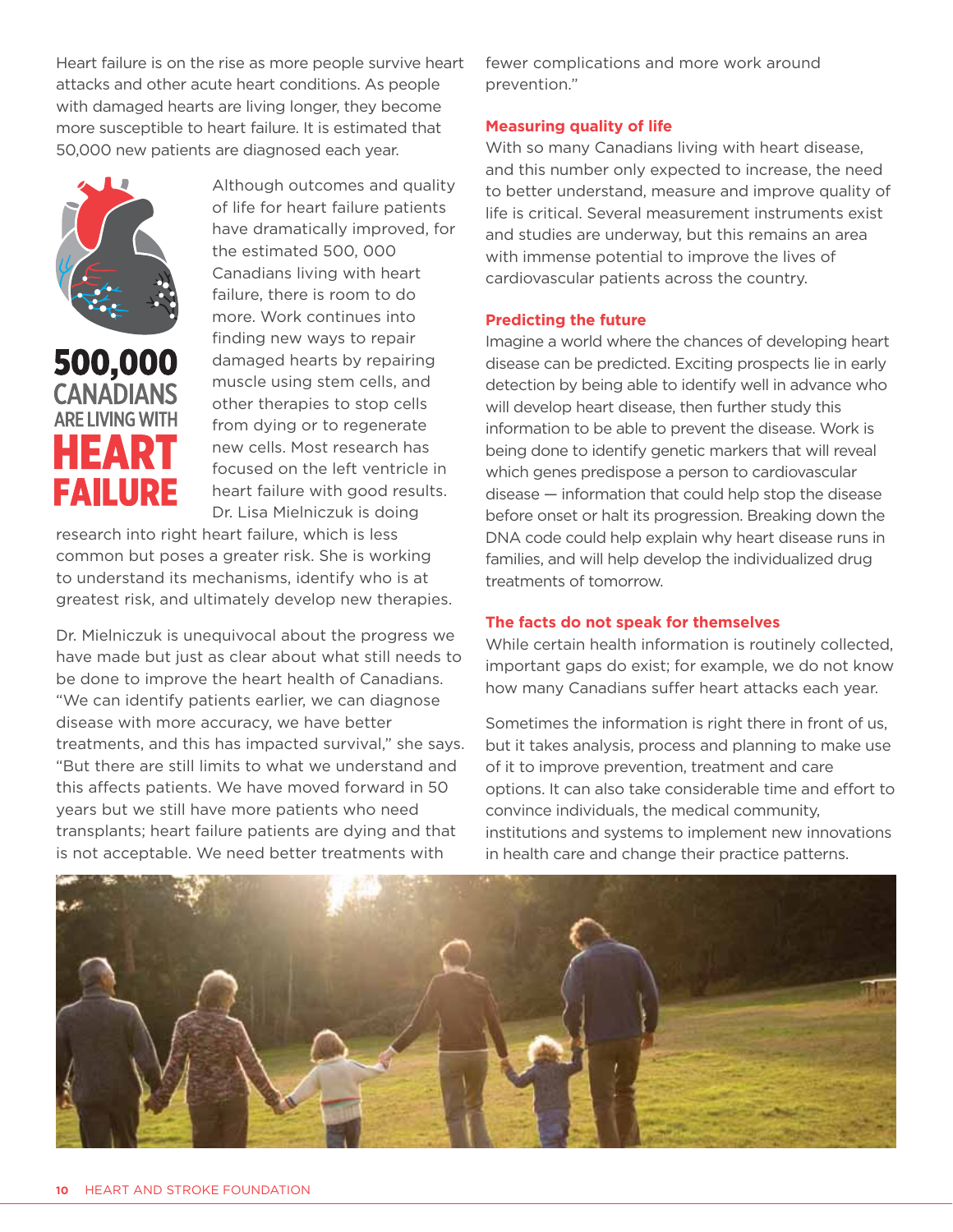Heart failure is on the rise as more people survive heart attacks and other acute heart conditions. As people with damaged hearts are living longer, they become more susceptible to heart failure. It is estimated that 50,000 new patients are diagnosed each year.



Although outcomes and quality of life for heart failure patients have dramatically improved, for the estimated 500, 000 Canadians living with heart failure, there is room to do more. Work continues into finding new ways to repair damaged hearts by repairing muscle using stem cells, and other therapies to stop cells from dying or to regenerate new cells. Most research has focused on the left ventricle in heart failure with good results. Dr. Lisa Mielniczuk is doing

research into right heart failure, which is less common but poses a greater risk. She is working to understand its mechanisms, identify who is at greatest risk, and ultimately develop new therapies.

Dr. Mielniczuk is unequivocal about the progress we have made but just as clear about what still needs to be done to improve the heart health of Canadians. "We can identify patients earlier, we can diagnose disease with more accuracy, we have better treatments, and this has impacted survival," she says. "But there are still limits to what we understand and this affects patients. We have moved forward in 50 years but we still have more patients who need transplants; heart failure patients are dying and that is not acceptable. We need better treatments with

fewer complications and more work around prevention."

#### **Measuring quality of life**

With so many Canadians living with heart disease, and this number only expected to increase, the need to better understand, measure and improve quality of life is critical. Several measurement instruments exist and studies are underway, but this remains an area with immense potential to improve the lives of cardiovascular patients across the country.

#### **Predicting the future**

Imagine a world where the chances of developing heart disease can be predicted. Exciting prospects lie in early detection by being able to identify well in advance who will develop heart disease, then further study this information to be able to prevent the disease. Work is being done to identify genetic markers that will reveal which genes predispose a person to cardiovascular disease — information that could help stop the disease before onset or halt its progression. Breaking down the DNA code could help explain why heart disease runs in families, and will help develop the individualized drug treatments of tomorrow.

#### **The facts do not speak for themselves**

While certain health information is routinely collected, important gaps do exist; for example, we do not know how many Canadians suffer heart attacks each year.

Sometimes the information is right there in front of us, but it takes analysis, process and planning to make use of it to improve prevention, treatment and care options. It can also take considerable time and effort to convince individuals, the medical community, institutions and systems to implement new innovations in health care and change their practice patterns.

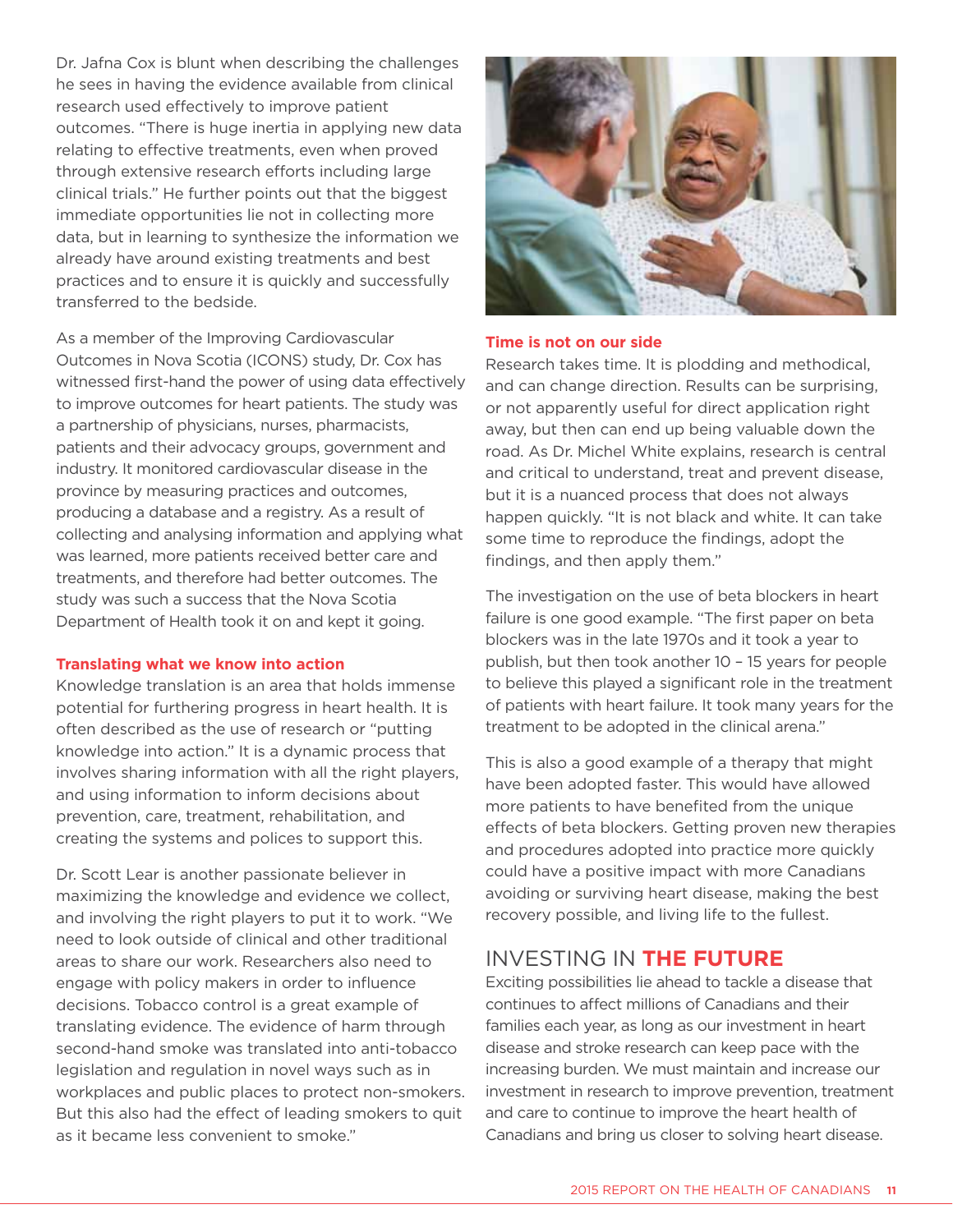Dr. Jafna Cox is blunt when describing the challenges he sees in having the evidence available from clinical research used effectively to improve patient outcomes. "There is huge inertia in applying new data relating to effective treatments, even when proved through extensive research efforts including large clinical trials." He further points out that the biggest immediate opportunities lie not in collecting more data, but in learning to synthesize the information we already have around existing treatments and best practices and to ensure it is quickly and successfully transferred to the bedside.

As a member of the Improving Cardiovascular Outcomes in Nova Scotia (ICONS) study, Dr. Cox has witnessed first-hand the power of using data effectively to improve outcomes for heart patients. The study was a partnership of physicians, nurses, pharmacists, patients and their advocacy groups, government and industry. It monitored cardiovascular disease in the province by measuring practices and outcomes, producing a database and a registry. As a result of collecting and analysing information and applying what was learned, more patients received better care and treatments, and therefore had better outcomes. The study was such a success that the Nova Scotia Department of Health took it on and kept it going.

#### **Translating what we know into action**

Knowledge translation is an area that holds immense potential for furthering progress in heart health. It is often described as the use of research or "putting knowledge into action." It is a dynamic process that involves sharing information with all the right players, and using information to inform decisions about prevention, care, treatment, rehabilitation, and creating the systems and polices to support this.

Dr. Scott Lear is another passionate believer in maximizing the knowledge and evidence we collect, and involving the right players to put it to work. "We need to look outside of clinical and other traditional areas to share our work. Researchers also need to engage with policy makers in order to influence decisions. Tobacco control is a great example of translating evidence. The evidence of harm through second-hand smoke was translated into anti-tobacco legislation and regulation in novel ways such as in workplaces and public places to protect non-smokers. But this also had the effect of leading smokers to quit as it became less convenient to smoke."



#### **Time is not on our side**

Research takes time. It is plodding and methodical, and can change direction. Results can be surprising, or not apparently useful for direct application right away, but then can end up being valuable down the road. As Dr. Michel White explains, research is central and critical to understand, treat and prevent disease, but it is a nuanced process that does not always happen quickly. "It is not black and white. It can take some time to reproduce the findings, adopt the findings, and then apply them."

The investigation on the use of beta blockers in heart failure is one good example. "The first paper on beta blockers was in the late 1970s and it took a year to publish, but then took another 10 – 15 years for people to believe this played a significant role in the treatment of patients with heart failure. It took many years for the treatment to be adopted in the clinical arena."

This is also a good example of a therapy that might have been adopted faster. This would have allowed more patients to have benefited from the unique effects of beta blockers. Getting proven new therapies and procedures adopted into practice more quickly could have a positive impact with more Canadians avoiding or surviving heart disease, making the best recovery possible, and living life to the fullest.

#### investing in **the future**

Exciting possibilities lie ahead to tackle a disease that continues to affect millions of Canadians and their families each year, as long as our investment in heart disease and stroke research can keep pace with the increasing burden. We must maintain and increase our investment in research to improve prevention, treatment and care to continue to improve the heart health of Canadians and bring us closer to solving heart disease.